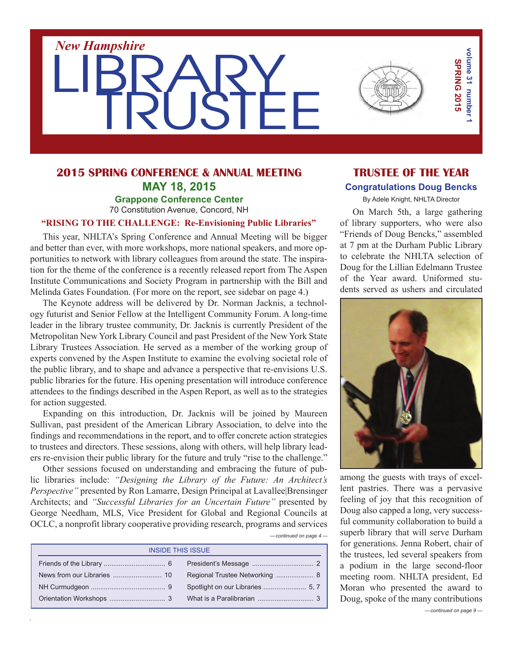

### **2015 Spring Conference & Annual Meeting May 18, 2015 Grappone Conference Center** 70 Constitution Avenue, Concord, NH

### **"Rising to the Challenge: Re-Envisioning Public Libraries"**

This year, NHLTA's Spring Conference and Annual Meeting will be bigger and better than ever, with more workshops, more national speakers, and more opportunities to network with library colleagues from around the state. The inspiration for the theme of the conference is a recently released report from The Aspen Institute Communications and Society Program in partnership with the Bill and Melinda Gates Foundation. (For more on the report, see sidebar on page 4.)

The Keynote address will be delivered by Dr. Norman Jacknis, a technology futurist and Senior Fellow at the Intelligent Community Forum. A long-time leader in the library trustee community, Dr. Jacknis is currently President of the Metropolitan New York Library Council and past President of the New York State Library Trustees Association. He served as a member of the working group of experts convened by the Aspen Institute to examine the evolving societal role of the public library, and to shape and advance a perspective that re-envisions U.S. public libraries for the future. His opening presentation will introduce conference attendees to the findings described in the Aspen Report, as well as to the strategies for action suggested.

Expanding on this introduction, Dr. Jacknis will be joined by Maureen Sullivan, past president of the American Library Association, to delve into the findings and recommendations in the report, and to offer concrete action strategies to trustees and directors. These sessions, along with others, will help library leaders re-envision their public library for the future and truly "rise to the challenge."

Other sessions focused on understanding and embracing the future of public libraries include: *"Designing the Library of the Future: An Architect's Perspective"* presented by Ron Lamarre, Design Principal at Lavallee|Brensinger Architects; and *"Successful Libraries for an Uncertain Future"* presented by George Needham, MLS, Vice President for Global and Regional Councils at OCLC, a nonprofit library cooperative providing research, programs and services

| $-$ continued on page $4-$ |  |  |
|----------------------------|--|--|
|                            |  |  |

| <b>INSIDE THIS ISSUE</b> |  |  |  |
|--------------------------|--|--|--|
|                          |  |  |  |
|                          |  |  |  |
|                          |  |  |  |
|                          |  |  |  |

# **TRUSTEE OF THE YEAR Congratulations Doug Bencks**

By Adele Knight, NHLTA Director

On March 5th, a large gathering of library supporters, who were also "Friends of Doug Bencks," assembled at 7 pm at the Durham Public Library to celebrate the NHLTA selection of Doug for the Lillian Edelmann Trustee of the Year award. Uniformed students served as ushers and circulated



among the guests with trays of excellent pastries. There was a pervasive feeling of joy that this recognition of Doug also capped a long, very successful community collaboration to build a superb library that will serve Durham for generations. Jenna Robert, chair of the trustees, led several speakers from a podium in the large second-floor meeting room. NHLTA president, Ed Moran who presented the award to Doug, spoke of the many contributions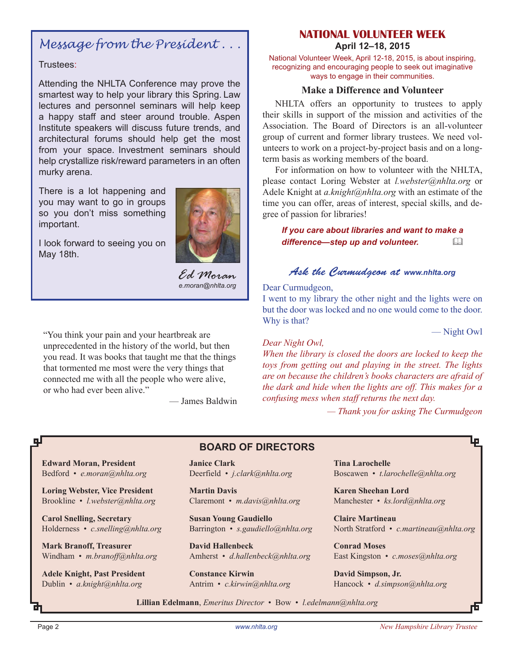# *Message from the President . . .*

### Trustees:

Attending the NHLTA Conference may prove the smartest way to help your library this Spring. Law lectures and personnel seminars will help keep a happy staff and steer around trouble. Aspen Institute speakers will discuss future trends, and architectural forums should help get the most from your space. Investment seminars should help crystallize risk/reward parameters in an often murky arena.

There is a lot happening and you may want to go in groups so you don't miss something important.





*Ed Moran e.moran@nhlta.org*

"You think your pain and your heartbreak are unprecedented in the history of the world, but then you read. It was books that taught me that the things that tormented me most were the very things that connected me with all the people who were alive, or who had ever been alive."

— James Baldwin

### **National Volunteer Week April 12–18, 2015**

National Volunteer Week, April 12-18, 2015, is about inspiring, recognizing and encouraging people to seek out imaginative ways to engage in their communities.

### **Make a Difference and Volunteer**

NHLTA offers an opportunity to trustees to apply their skills in support of the mission and activities of the Association. The Board of Directors is an all-volunteer group of current and former library trustees. We need volunteers to work on a project-by-project basis and on a longterm basis as working members of the board.

For information on how to volunteer with the NHLTA, please contact Loring Webster at *l.webster@nhlta.org* or Adele Knight at *a.knight@nhlta.org* with an estimate of the time you can offer, areas of interest, special skills, and degree of passion for libraries!

*If you care about libraries and want to make a*  difference—step up and volunteer.  $\Box$ 

### *Ask the Curmudgeon at www.nhlta.org*

#### Dear Curmudgeon,

I went to my library the other night and the lights were on but the door was locked and no one would come to the door. Why is that?

— Night Owl

#### *Dear Night Owl,*

*When the library is closed the doors are locked to keep the toys from getting out and playing in the street. The lights are on because the children's books characters are afraid of the dark and hide when the lights are off. This makes for a confusing mess when staff returns the next day.* 

*— Thank you for asking The Curmudgeon*

**Edward Moran, President** Bedford • *e.moran@nhlta.org*

**Loring Webster, Vice President** Brookline • *l.webster@nhlta.org*

**Carol Snelling, Secretary** Holderness • *c.snelling@nhlta.org*

**Mark Branoff, Treasurer** Windham • *m.branoff@nhlta.org*

**Adele Knight, Past President** Dublin • *a.knight@nhlta.org*

**Janice Clark** Deerfield • *j.clark@nhlta.org*

**BOARD of directors**

**Martin Davis** Claremont • *m.davis@nhlta.org*

**Susan Young Gaudiello** Barrington • *s.gaudiello@nhlta.org*

**David Hallenbeck** Amherst • *d.hallenbeck@nhlta.org*

**Constance Kirwin** Antrim • *c.kirwin@nhlta.org*

**Tina Larochelle** Boscawen • *t.larochelle@nhlta.org*

**Karen Sheehan Lord** Manchester • *ks.lord@nhlta.org*

**Claire Martineau** North Stratford • *c.martineau@nhlta.org*

**Conrad Moses** East Kingston • *c.moses@nhlta.org*

**David Simpson, Jr.** Hancock • *d.simpson@nhlta.org*

**Lillian Edelmann**, *Emeritus Director* • Bow • *l.edelmann@nhlta.org*

цI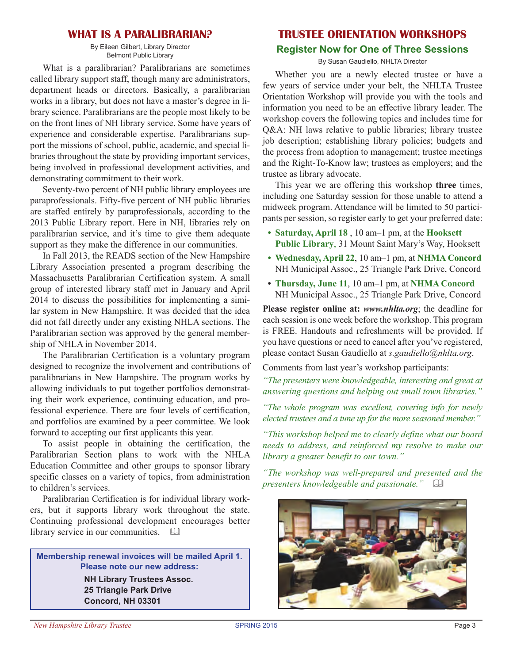### **What is a Paralibrarian?**

By Eileen Gilbert, Library Director Belmont Public Library

What is a paralibrarian? Paralibrarians are sometimes called library support staff, though many are administrators, department heads or directors. Basically, a paralibrarian works in a library, but does not have a master's degree in library science. Paralibrarians are the people most likely to be on the front lines of NH library service. Some have years of experience and considerable expertise. Paralibrarians support the missions of school, public, academic, and special libraries throughout the state by providing important services, being involved in professional development activities, and demonstrating commitment to their work.

Seventy-two percent of NH public library employees are paraprofessionals. Fifty-five percent of NH public libraries are staffed entirely by paraprofessionals, according to the 2013 Public Library report. Here in NH, libraries rely on paralibrarian service, and it's time to give them adequate support as they make the difference in our communities.

In Fall 2013, the READS section of the New Hampshire Library Association presented a program describing the Massachusetts Paralibrarian Certification system. A small group of interested library staff met in January and April 2014 to discuss the possibilities for implementing a similar system in New Hampshire. It was decided that the idea did not fall directly under any existing NHLA sections. The Paralibrarian section was approved by the general membership of NHLA in November 2014.

The Paralibrarian Certification is a voluntary program designed to recognize the involvement and contributions of paralibrarians in New Hampshire. The program works by allowing individuals to put together portfolios demonstrating their work experience, continuing education, and professional experience. There are four levels of certification, and portfolios are examined by a peer committee. We look forward to accepting our first applicants this year.

To assist people in obtaining the certification, the Paralibrarian Section plans to work with the NHLA Education Committee and other groups to sponsor library specific classes on a variety of topics, from administration to children's services.

Paralibrarian Certification is for individual library workers, but it supports library work throughout the state. Continuing professional development encourages better library service in our communities.  $\square\hspace{-.08cm}\square$ 

**Membership renewal invoices will be mailed April 1. Please note our new address: NH Library Trustees Assoc. 25 Triangle Park Drive Concord, NH 03301**

### **TRUSTEE ORIENTATION WORKSHOPS**

#### **Register Now for One of Three Sessions**

By Susan Gaudiello, NHLTA Director

Whether you are a newly elected trustee or have a few years of service under your belt, the NHLTA Trustee Orientation Workshop will provide you with the tools and information you need to be an effective library leader. The workshop covers the following topics and includes time for Q&A: NH laws relative to public libraries; library trustee job description; establishing library policies; budgets and the process from adoption to management; trustee meetings and the Right-To-Know law; trustees as employers; and the trustee as library advocate.

This year we are offering this workshop **three** times, including one Saturday session for those unable to attend a midweek program. Attendance will be limited to 50 participants per session, so register early to get your preferred date:

- **Saturday, April 18** , 10 am–1 pm, at the **Hooksett Public Library**, 31 Mount Saint Mary's Way, Hooksett
- **• Wednesday, April 22**, 10 am–1 pm, at **NH MA Concord** NH Municipal Assoc., 25 Triangle Park Drive, Concord
- **Thursday, June 11**, 10 am–1 pm, at **NHMA** Concord NH Municipal Assoc., 25 Triangle Park Drive, Concord

**Please register online at:** *www.nhlta.org*; the deadline for each session is one week before the workshop. This program is FREE. Handouts and refreshments will be provided. If you have questions or need to cancel after you've registered, please contact Susan Gaudiello at *s.gaudiello@nhlta.org*.

Comments from last year's workshop participants:

*"The presenters were knowledgeable, interesting and great at answering questions and helping out small town libraries."*

*"The whole program was excellent, covering info for newly elected trustees and a tune up for the more seasoned member."*

*"This workshop helped me to clearly define what our board needs to address, and reinforced my resolve to make our library a greater benefit to our town."*

*"The workshop was well-prepared and presented and the presenters knowledgeable and passionate.*"

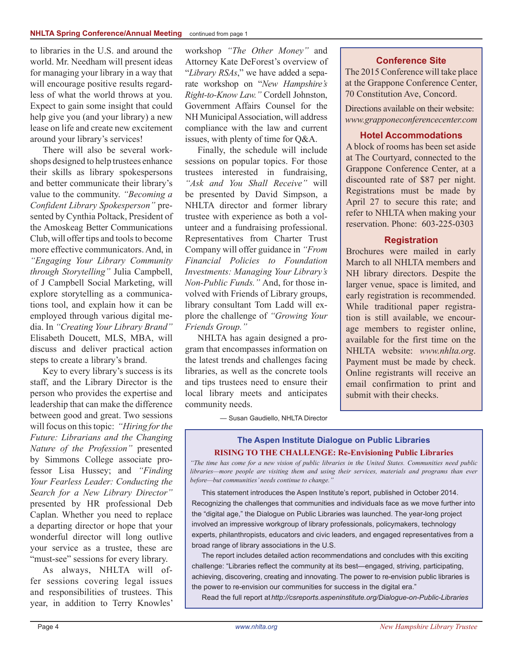#### **NHLTA Spring Conference/Annual Meeting** continued from page 1

to libraries in the U.S. and around the world. Mr. Needham will present ideas for managing your library in a way that will encourage positive results regardless of what the world throws at you. Expect to gain some insight that could help give you (and your library) a new lease on life and create new excitement around your library's services!

There will also be several workshops designed to help trustees enhance their skills as library spokespersons and better communicate their library's value to the community. *"Becoming a Confident Library Spokesperson"* presented by Cynthia Poltack, President of the Amoskeag Better Communications Club, will offer tips and tools to become more effective communicators. And, in *"Engaging Your Library Community through Storytelling"* Julia Campbell, of J Campbell Social Marketing, will explore storytelling as a communications tool, and explain how it can be employed through various digital media. In *"Creating Your Library Brand"* Elisabeth Doucett, MLS, MBA, will discuss and deliver practical action steps to create a library's brand.

Key to every library's success is its staff, and the Library Director is the person who provides the expertise and leadership that can make the difference between good and great. Two sessions will focus on thistopic: *"Hiring for the Future: Librarians and the Changing Nature of the Profession"* presented by Simmons College associate professor Lisa Hussey; and *"Finding Your Fearless Leader: Conducting the Search for a New Library Director"*  presented by HR professional Deb Caplan. Whether you need to replace a departing director or hope that your wonderful director will long outlive your service as a trustee, these are "must-see" sessions for every library.

As always, NHLTA will offer sessions covering legal issues and responsibilities of trustees. This year, in addition to Terry Knowles' workshop *"The Other Money"* and Attorney Kate DeForest's overview of "*Library RSAs*," we have added a separate workshop on "*New Hampshire's Right-to-Know Law."* Cordell Johnston, Government Affairs Counsel for the NH MunicipalAssociation, will address compliance with the law and current issues, with plenty of time for Q&A.

Finally, the schedule will include sessions on popular topics. For those trustees interested in fundraising, *"Ask and You Shall Receive"* will be presented by David Simpson, a NHLTA director and former library trustee with experience as both a volunteer and a fundraising professional. Representatives from Charter Trust Company will offer guidance in *"From Financial Policies to Foundation Investments: Managing Your Library's Non-Public Funds."* And, for those involved with Friends of Library groups, library consultant Tom Ladd will explore the challenge of *"Growing Your Friends Group."*

NHLTA has again designed a program that encompasses information on the latest trends and challenges facing libraries, as well as the concrete tools and tips trustees need to ensure their local library meets and anticipates community needs.

#### **Conference Site**

The 2015 Conference will take place at the Grappone Conference Center, 70 Constitution Ave, Concord.

Directions available on their website: *www.grapponeconferencecenter.com*

#### **Hotel Accommodations**

A block of rooms has been set aside at The Courtyard, connected to the Grappone Conference Center, at a discounted rate of \$87 per night. Registrations must be made by April 27 to secure this rate; and refer to NHLTA when making your reservation. Phone: 603-225-0303

#### **Registration**

Brochures were mailed in early March to all NHLTA members and NH library directors. Despite the larger venue, space is limited, and early registration is recommended. While traditional paper registration is still available, we encourage members to register online, available for the first time on the NHLTA website: *www.nhlta.org*. Payment must be made by check. Online registrants will receive an email confirmation to print and submit with their checks.

— Susan Gaudiello, NHLTA Director

#### **The Aspen Institute Dialogue on Public Libraries RISING TO THE CHALLENGE: Re-Envisioning Public Libraries**

*"The time has come for a new vision of public libraries in the United States. Communities need public libraries—more people are visiting them and using their services, materials and programs than ever before—but communities' needs continue to change."* 

This statement introduces the Aspen Institute's report, published in October 2014. Recognizing the challenges that communities and individuals face as we move further into the "digital age," the Dialogue on Public Libraries was launched. The year-long project involved an impressive workgroup of library professionals, policymakers, technology experts, philanthropists, educators and civic leaders, and engaged representatives from a broad range of library associations in the U.S.

The report includes detailed action recommendations and concludes with this exciting challenge: "Libraries reflect the community at its best—engaged, striving, participating, achieving, discovering, creating and innovating. The power to re-envision public libraries is the power to re-envision our communities for success in the digital era."

Read the full report at*http://csreports.aspeninstitute.org/Dialogue-on-Public-Libraries*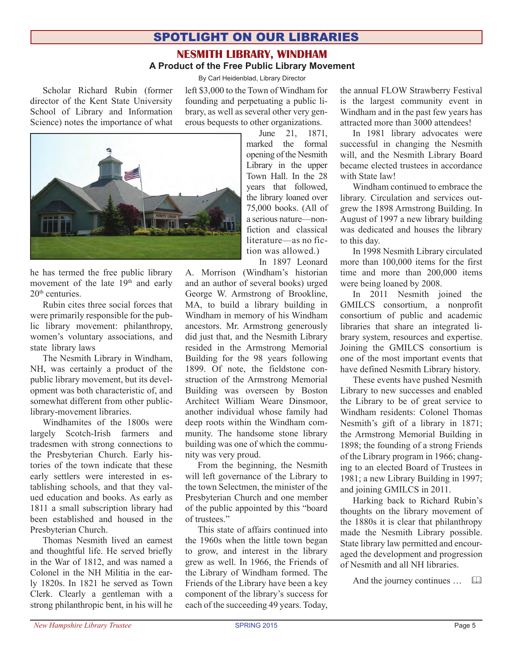# spotlight on our libraries

### **Nesmith Library, Windham A Product of the Free Public Library Movement**

By Carl Heidenblad, Library Director

Scholar Richard Rubin (former director of the Kent State University School of Library and Information Science) notes the importance of what left \$3,000 to the Town of Windham for founding and perpetuating a public library, as well as several other very generous bequests to other organizations.



he has termed the free public library movement of the late 19<sup>th</sup> and early 20<sup>th</sup> centuries.

Rubin cites three social forces that were primarily responsible for the public library movement: philanthropy, women's voluntary associations, and state library laws

The Nesmith Library in Windham, NH, was certainly a product of the public library movement, but its development was both characteristic of, and somewhat different from other publiclibrary-movement libraries.

Windhamites of the 1800s were largely Scotch-Irish farmers and tradesmen with strong connections to the Presbyterian Church. Early histories of the town indicate that these early settlers were interested in establishing schools, and that they valued education and books. As early as 1811 a small subscription library had been established and housed in the Presbyterian Church.

Thomas Nesmith lived an earnest and thoughtful life. He served briefly in the War of 1812, and was named a Colonel in the NH Militia in the early 1820s. In 1821 he served as Town Clerk. Clearly a gentleman with a strong philanthropic bent, in his will he

June 21, 1871, marked the formal opening of the Nesmith Library in the upper Town Hall. In the 28 years that followed, the library loaned over 75,000 books. (All of a serious nature—nonfiction and classical literature—as no fiction was allowed.) In 1897 Leonard

A. Morrison (Windham's historian and an author of several books) urged George W. Armstrong of Brookline, MA, to build a library building in Windham in memory of his Windham ancestors. Mr. Armstrong generously did just that, and the Nesmith Library resided in the Armstrong Memorial Building for the 98 years following 1899. Of note, the fieldstone construction of the Armstrong Memorial Building was overseen by Boston Architect William Weare Dinsmoor, another individual whose family had deep roots within the Windham community. The handsome stone library building was one of which the community was very proud.

From the beginning, the Nesmith will left governance of the Library to the town Selectmen, the minister of the Presbyterian Church and one member of the public appointed by this "board of trustees."

This state of affairs continued into the 1960s when the little town began to grow, and interest in the library grew as well. In 1966, the Friends of the Library of Windham formed. The Friends of the Library have been a key component of the library's success for each of the succeeding 49 years. Today,

the annual FLOW Strawberry Festival is the largest community event in Windham and in the past few years has attracted more than 3000 attendees!

In 1981 library advocates were successful in changing the Nesmith will, and the Nesmith Library Board became elected trustees in accordance with State law!

Windham continued to embrace the library. Circulation and services outgrew the 1898 Armstrong Building. In August of 1997 a new library building was dedicated and houses the library to this day.

In 1998 Nesmith Library circulated more than 100,000 items for the first time and more than 200,000 items were being loaned by 2008.

In 2011 Nesmith joined the GMILCS consortium, a nonprofit consortium of public and academic libraries that share an integrated library system, resources and expertise. Joining the GMILCS consortium is one of the most important events that have defined Nesmith Library history.

These events have pushed Nesmith Library to new successes and enabled the Library to be of great service to Windham residents: Colonel Thomas Nesmith's gift of a library in 1871; the Armstrong Memorial Building in 1898; the founding of a strong Friends of the Library program in 1966; changing to an elected Board of Trustees in 1981; a new Library Building in 1997; and joining GMILCS in 2011.

Harking back to Richard Rubin's thoughts on the library movement of the 1880s it is clear that philanthropy made the Nesmith Library possible. State library law permitted and encouraged the development and progression of Nesmith and all NH libraries.

And the journey continues  $\dots$   $\Box$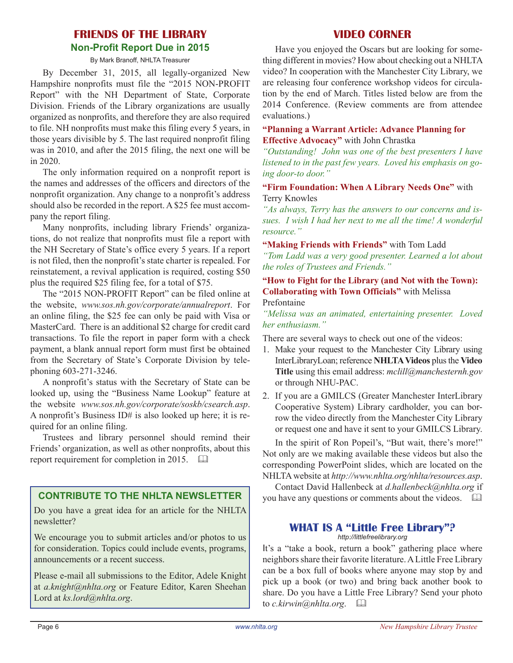# **FRIENDS OF THE LIBRARY Non-Profit Report Due in 2015**

By Mark Branoff, NHLTA Treasurer

By December 31, 2015, all legally-organized New Hampshire nonprofits must file the "2015 NON-PROFIT Report" with the NH Department of State, Corporate Division. Friends of the Library organizations are usually organized as nonprofits, and therefore they are also required to file. NH nonprofits must make this filing every 5 years, in those years divisible by 5. The last required nonprofit filing was in 2010, and after the 2015 filing, the next one will be in 2020.

The only information required on a nonprofit report is the names and addresses of the officers and directors of the nonprofit organization. Any change to a nonprofit's address should also be recorded in the report. A \$25 fee must accompany the report filing.

Many nonprofits, including library Friends' organizations, do not realize that nonprofits must file a report with the NH Secretary of State's office every 5 years. If a report is not filed, then the nonprofit's state charter is repealed. For reinstatement, a revival application is required, costing \$50 plus the required \$25 filing fee, for a total of \$75.

The "2015 NON-PROFIT Report" can be filed online at the website, *www.sos.nh.gov/corporate/annualreport*. For an online filing, the \$25 fee can only be paid with Visa or MasterCard. There is an additional \$2 charge for credit card transactions. To file the report in paper form with a check payment, a blank annual report form must first be obtained from the Secretary of State's Corporate Division by telephoning 603-271-3246.

A nonprofit's status with the Secretary of State can be looked up, using the "Business Name Lookup" feature at the website *www.sos.nh.gov/corporate/soskb/csearch.asp*. A nonprofit's Business ID# is also looked up here; it is required for an online filing.

Trustees and library personnel should remind their Friends' organization, as well as other nonprofits, about this report requirement for completion in 2015.  $\Box$ 

Do you have a great idea for an article for the NHLTA newsletter?

We encourage you to submit articles and/or photos to us for consideration. Topics could include events, programs, announcements or a recent success.

Please e-mail all submissions to the Editor, Adele Knight at *a.knight@nhlta.org* or Feature Editor, Karen Sheehan Lord at *ks.lord@nhlta.org*.

### **VIDEO CORNER**

Have you enjoyed the Oscars but are looking for something different in movies? How about checking out a NHLTA video? In cooperation with the Manchester City Library, we are releasing four conference workshop videos for circulation by the end of March. Titles listed below are from the 2014 Conference. (Review comments are from attendee evaluations.)

#### **"Planning a Warrant Article: Advance Planning for Effective Advocacy"** with John Chrastka

*"Outstanding! John was one of the best presenters I have listened to in the past few years. Loved his emphasis on going door-to door."*

**"Firm Foundation: When A Library Needs One"** with Terry Knowles

*"As always, Terry has the answers to our concerns and issues. I wish I had her next to me all the time! A wonderful resource."*

#### **"Making Friends with Friends"** with Tom Ladd

*"Tom Ladd was a very good presenter. Learned a lot about the roles of Trustees and Friends."*

#### **"How to Fight for the Library (and Not with the Town): Collaborating with Town Officials"** with Melissa Prefontaine

*"Melissa was an animated, entertaining presenter. Loved her enthusiasm."*

There are several ways to check out one of the videos:

- 1. Make your request to the Manchester City Library using InterLibraryLoan; reference **NHLTA Videos** plusthe **Video Title** using this email address: *mclill@manchesternh.gov* or through NHU-PAC.
- 2. If you are a GMILCS (Greater Manchester InterLibrary Cooperative System) Library cardholder, you can borrow the video directly from the Manchester City Library or request one and have it sent to your GMILCS Library.

In the spirit of Ron Popeil's, "But wait, there's more!" Not only are we making available these videos but also the corresponding PowerPoint slides, which are located on the NHLTAwebsite at *http://www.nhlta.org/nhlta/resources.asp*.

Contact David Hallenbeck at *d.hallenbeck@nhlta.org* if **CONTRIBUTE TO THE NHLTA NEWSLETTER** vou have any questions or comments about the videos.  $\Box$ 

#### **What is a "Little Free Library"?** *http://littlefreelibrary.org*

It's a "take a book, return a book" gathering place where neighbors share their favorite literature. A Little Free Library can be a box full of books where anyone may stop by and pick up a book (or two) and bring back another book to share. Do you have a Little Free Library? Send your photo to *c.kirwin@nhlta.org*. &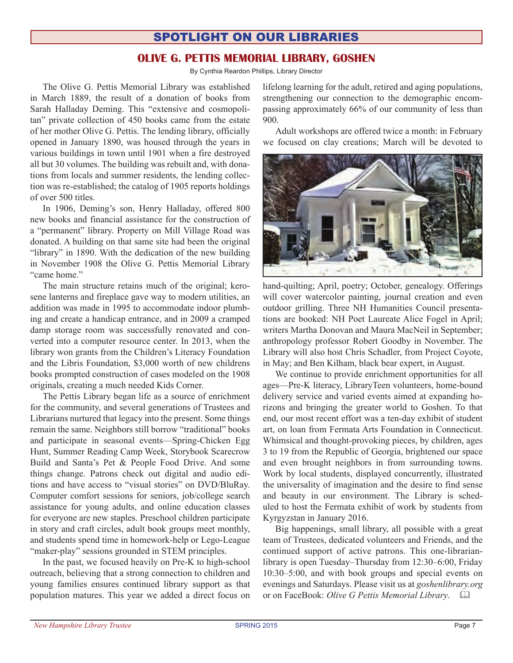# spotlight on our libraries

## **olive g. pettis memorial library, goshen**

By Cynthia Reardon Phillips, Library Director

The Olive G. Pettis Memorial Library was established in March 1889, the result of a donation of books from Sarah Halladay Deming. This "extensive and cosmopolitan" private collection of 450 books came from the estate of her mother Olive G. Pettis. The lending library, officially opened in January 1890, was housed through the years in various buildings in town until 1901 when a fire destroyed all but 30 volumes. The building was rebuilt and, with donations from locals and summer residents, the lending collection was re-established; the catalog of 1905 reports holdings of over 500 titles.

In 1906, Deming's son, Henry Halladay, offered 800 new books and financial assistance for the construction of a "permanent" library. Property on Mill Village Road was donated. A building on that same site had been the original "library" in 1890. With the dedication of the new building in November 1908 the Olive G. Pettis Memorial Library "came home."

The main structure retains much of the original; kerosene lanterns and fireplace gave way to modern utilities, an addition was made in 1995 to accommodate indoor plumbing and create a handicap entrance, and in 2009 a cramped damp storage room was successfully renovated and converted into a computer resource center. In 2013, when the library won grants from the Children's Literacy Foundation and the Libris Foundation, \$3,000 worth of new childrens books prompted construction of cases modeled on the 1908 originals, creating a much needed Kids Corner.

The Pettis Library began life as a source of enrichment for the community, and several generations of Trustees and Librarians nurtured that legacy into the present. Some things remain the same. Neighbors still borrow "traditional" books and participate in seasonal events—Spring-Chicken Egg Hunt, Summer Reading Camp Week, Storybook Scarecrow Build and Santa's Pet & People Food Drive. And some things change. Patrons check out digital and audio editions and have access to "visual stories" on DVD/BluRay. Computer comfort sessions for seniors, job/college search assistance for young adults, and online education classes for everyone are new staples. Preschool children participate in story and craft circles, adult book groups meet monthly, and students spend time in homework-help or Lego-League "maker-play" sessions grounded in STEM principles.

In the past, we focused heavily on Pre-K to high-school outreach, believing that a strong connection to children and young families ensures continued library support as that population matures. This year we added a direct focus on lifelong learning for the adult, retired and aging populations, strengthening our connection to the demographic encompassing approximately 66% of our community of less than 900.

Adult workshops are offered twice a month: in February we focused on clay creations; March will be devoted to



hand-quilting; April, poetry; October, genealogy. Offerings will cover watercolor painting, journal creation and even outdoor grilling. Three NH Humanities Council presentations are booked: NH Poet Laureate Alice Fogel in April; writers Martha Donovan and Maura MacNeil in September; anthropology professor Robert Goodby in November. The Library will also host Chris Schadler, from Project Coyote, in May; and Ben Kilham, black bear expert, in August.

We continue to provide enrichment opportunities for all ages—Pre-K literacy, LibraryTeen volunteers, home-bound delivery service and varied events aimed at expanding horizons and bringing the greater world to Goshen. To that end, our most recent effort was a ten-day exhibit of student art, on loan from Fermata Arts Foundation in Connecticut. Whimsical and thought-provoking pieces, by children, ages 3 to 19 from the Republic of Georgia, brightened our space and even brought neighbors in from surrounding towns. Work by local students, displayed concurrently, illustrated the universality of imagination and the desire to find sense and beauty in our environment. The Library is scheduled to host the Fermata exhibit of work by students from Kyrgyzstan in January 2016.

Big happenings, small library, all possible with a great team of Trustees, dedicated volunteers and Friends, and the continued support of active patrons. This one-librarianlibrary is open Tuesday–Thursday from 12:30–6:00, Friday 10:30–5:00, and with book groups and special events on evenings and Saturdays. Please visit us at *goshenlibrary.org* or on FaceBook: *Olive G Pettis Memorial Library*. &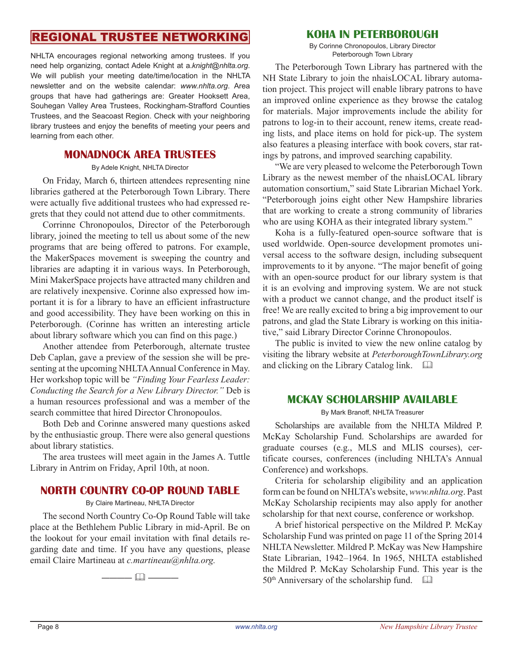# regional trustee networking

NHLTA encourages regional networking among trustees. If you need help organizing, contact Adele Knight at a.*knight@nhlta.org*. We will publish your meeting date/time/location in the NHLTA newsletter and on the website calendar: *www.nhlta.org*. Area groups that have had gatherings are: Greater Hooksett Area, Souhegan Valley Area Trustees, Rockingham-Strafford Counties Trustees, and the Seacoast Region. Check with your neighboring library trustees and enjoy the benefits of meeting your peers and learning from each other.

### **Monadnock Area Trustees**

#### By Adele Knight, NHLTA Director

On Friday, March 6, thirteen attendees representing nine libraries gathered at the Peterborough Town Library. There were actually five additional trustees who had expressed regrets that they could not attend due to other commitments.

Corrinne Chronopoulos, Director of the Peterborough library, joined the meeting to tell us about some of the new programs that are being offered to patrons. For example, the MakerSpaces movement is sweeping the country and libraries are adapting it in various ways. In Peterborough, Mini MakerSpace projects have attracted many children and are relatively inexpensive. Corinne also expressed how important it is for a library to have an efficient infrastructure and good accessibility. They have been working on this in Peterborough. (Corinne has written an interesting article about library software which you can find on this page.)

Another attendee from Peterborough, alternate trustee Deb Caplan, gave a preview of the session she will be presenting at the upcoming NHLTA Annual Conference in May. Her workshop topic will be *"Finding Your Fearless Leader: Conducting the Search for a New Library Director."* Deb is a human resources professional and was a member of the search committee that hired Director Chronopoulos.

Both Deb and Corinne answered many questions asked by the enthusiastic group. There were also general questions about library statistics.

The area trustees will meet again in the James A. Tuttle Library in Antrim on Friday, April 10th, at noon.

## **NORTH COUNTRY CO-OP ROUND TABLE**

#### By Claire Martineau, NHLTA Director

The second North Country Co-Op Round Table will take place at the Bethlehem Public Library in mid-April. Be on the lookout for your email invitation with final details regarding date and time. If you have any questions, please email Claire Martineau at *c.martineau@nhlta.org.*

———— & ————

### **KOHA in peterborough**

By Corinne Chronopoulos, Library Director Peterborough Town Library

The Peterborough Town Library has partnered with the NH State Library to join the nhaisLOCAL library automation project. This project will enable library patrons to have an improved online experience as they browse the catalog for materials. Major improvements include the ability for patrons to log-in to their account, renew items, create reading lists, and place items on hold for pick-up. The system also features a pleasing interface with book covers, star ratings by patrons, and improved searching capability.

"We are very pleased to welcome the Peterborough Town Library as the newest member of the nhaisLOCAL library automation consortium," said State Librarian Michael York. "Peterborough joins eight other New Hampshire libraries that are working to create a strong community of libraries who are using KOHA as their integrated library system."

Koha is a fully-featured open-source software that is used worldwide. Open-source development promotes universal access to the software design, including subsequent improvements to it by anyone. "The major benefit of going with an open-source product for our library system is that it is an evolving and improving system. We are not stuck with a product we cannot change, and the product itself is free! We are really excited to bring a big improvement to our patrons, and glad the State Library is working on this initiative," said Library Director Corinne Chronopoulos.

The public is invited to view the new online catalog by visiting the library website at *PeterboroughTownLibrary.org* and clicking on the Library Catalog link.  $\Box$ 

### **mckay scholarship available**

#### By Mark Branoff, NHLTA Treasurer

Scholarships are available from the NHLTA Mildred P. McKay Scholarship Fund. Scholarships are awarded for graduate courses (e.g., MLS and MLIS courses), certificate courses, conferences (including NHLTA's Annual Conference) and workshops.

Criteria for scholarship eligibility and an application form can be found on NHLTA's website, *www.nhlta.org*. Past McKay Scholarship recipients may also apply for another scholarship for that next course, conference or workshop.

A brief historical perspective on the Mildred P. McKay Scholarship Fund was printed on page 11 of the Spring 2014 NHLTA Newsletter. Mildred P. McKay was New Hampshire State Librarian, 1942–1964. In 1965, NHLTA established the Mildred P. McKay Scholarship Fund. This year is the  $50<sup>th</sup>$  Anniversary of the scholarship fund.  $\Box$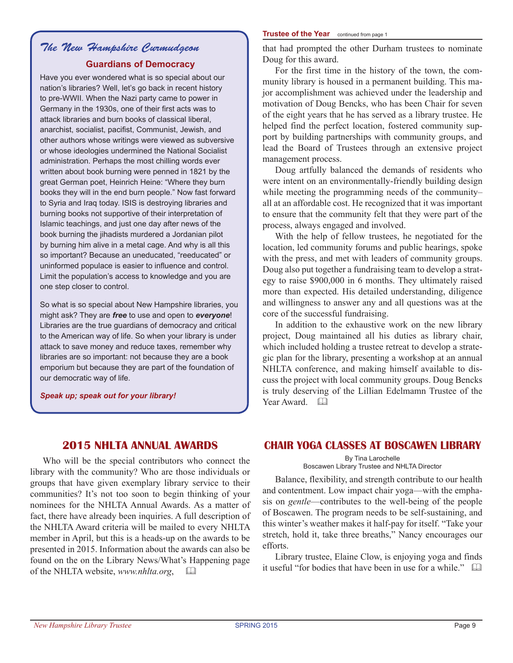# *The New Hampshire Curmudgeon* **Guardians of Democracy**

Have you ever wondered what is so special about our nation's libraries? Well, let's go back in recent history to pre-WWII. When the Nazi party came to power in Germany in the 1930s, one of their first acts was to attack libraries and burn books of classical liberal, anarchist, socialist, pacifist, Communist, Jewish, and other authors whose writings were viewed as subversive or whose ideologies undermined the National Socialist administration. Perhaps the most chilling words ever written about book burning were penned in 1821 by the great German poet, Heinrich Heine: "Where they burn books they will in the end burn people." Now fast forward to Syria and Iraq today. ISIS is destroying libraries and burning books not supportive of their interpretation of Islamic teachings, and just one day after news of the book burning the jihadists murdered a Jordanian pilot by burning him alive in a metal cage. And why is all this so important? Because an uneducated, "reeducated" or uninformed populace is easier to influence and control. Limit the population's access to knowledge and you are one step closer to control.

So what is so special about New Hampshire libraries, you might ask? They are *free* to use and open to *everyone*! Libraries are the true guardians of democracy and critical to the American way of life. So when your library is under attack to save money and reduce taxes, remember why libraries are so important: not because they are a book emporium but because they are part of the foundation of our democratic way of life.

#### *Speak up; speak out for your library!*

#### **Trustee of the Year** continued from page 1

that had prompted the other Durham trustees to nominate Doug for this award.

For the first time in the history of the town, the community library is housed in a permanent building. This major accomplishment was achieved under the leadership and motivation of Doug Bencks, who has been Chair for seven of the eight years that he has served as a library trustee. He helped find the perfect location, fostered community support by building partnerships with community groups, and lead the Board of Trustees through an extensive project management process.

Doug artfully balanced the demands of residents who were intent on an environmentally-friendly building design while meeting the programming needs of the community– all at an affordable cost. He recognized that it was important to ensure that the community felt that they were part of the process, always engaged and involved.

With the help of fellow trustees, he negotiated for the location, led community forums and public hearings, spoke with the press, and met with leaders of community groups. Doug also put together a fundraising team to develop a strategy to raise \$900,000 in 6 months. They ultimately raised more than expected. His detailed understanding, diligence and willingness to answer any and all questions was at the core of the successful fundraising.

In addition to the exhaustive work on the new library project, Doug maintained all his duties as library chair, which included holding a trustee retreat to develop a strategic plan for the library, presenting a workshop at an annual NHLTA conference, and making himself available to discuss the project with local community groups. Doug Bencks is truly deserving of the Lillian Edelmamn Trustee of the Year Award.  $\Box$ 

## **2015 NHLTA ANNUAL AWARDS**

Who will be the special contributors who connect the library with the community? Who are those individuals or groups that have given exemplary library service to their communities? It's not too soon to begin thinking of your nominees for the NHLTA Annual Awards. As a matter of fact, there have already been inquiries. A full description of the NHLTA Award criteria will be mailed to every NHLTA member in April, but this is a heads-up on the awards to be presented in 2015. Information about the awards can also be found on the on the Library News/What's Happening page of the NHLTA website, *www.nhlta.org*, &

# **Chair Yoga Classes at Boscawen Library**

By Tina Larochelle Boscawen Library Trustee and NHLTA Director

Balance, flexibility, and strength contribute to our health and contentment. Low impact chair yoga—with the emphasis on *gentle*—contributes to the well-being of the people of Boscawen. The program needs to be self-sustaining, and this winter's weather makes it half-pay for itself. "Take your stretch, hold it, take three breaths," Nancy encourages our efforts.

Library trustee, Elaine Clow, is enjoying yoga and finds it useful "for bodies that have been in use for a while."  $\Box$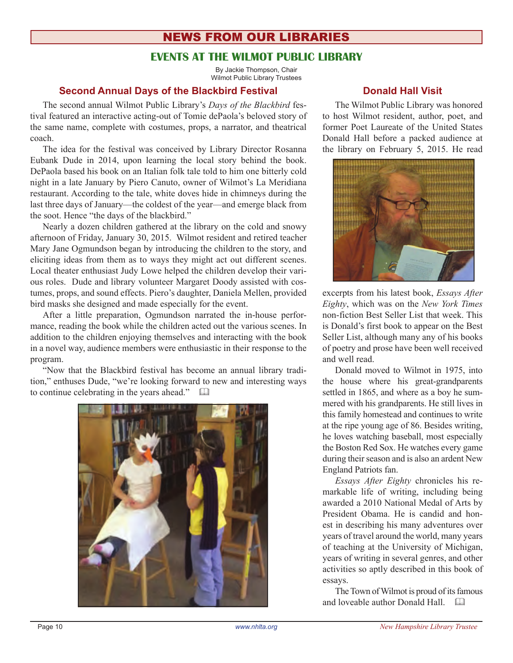# News from our libraries

# **events at the wilmot public library**

By Jackie Thompson, Chair Wilmot Public Library Trustees

### **Second Annual Days of the Blackbird Festival**

The second annual Wilmot Public Library's *Days of the Blackbird* festival featured an interactive acting-out of Tomie dePaola's beloved story of the same name, complete with costumes, props, a narrator, and theatrical coach.

The idea for the festival was conceived by Library Director Rosanna Eubank Dude in 2014, upon learning the local story behind the book. DePaola based his book on an Italian folk tale told to him one bitterly cold night in a late January by Piero Canuto, owner of Wilmot's La Meridiana restaurant. According to the tale, white doves hide in chimneys during the last three days of January—the coldest of the year—and emerge black from the soot. Hence "the days of the blackbird."

Nearly a dozen children gathered at the library on the cold and snowy afternoon of Friday, January 30, 2015. Wilmot resident and retired teacher Mary Jane Ogmundson began by introducing the children to the story, and eliciting ideas from them as to ways they might act out different scenes. Local theater enthusiast Judy Lowe helped the children develop their various roles. Dude and library volunteer Margaret Doody assisted with costumes, props, and sound effects. Piero's daughter, Daniela Mellen, provided bird masks she designed and made especially for the event.

After a little preparation, Ogmundson narrated the in-house performance, reading the book while the children acted out the various scenes. In addition to the children enjoying themselves and interacting with the book in a novel way, audience members were enthusiastic in their response to the program.

"Now that the Blackbird festival has become an annual library tradition," enthuses Dude, "we're looking forward to new and interesting ways to continue celebrating in the years ahead."  $\Box$ 



### **Donald Hall Visit**

The Wilmot Public Library was honored to host Wilmot resident, author, poet, and former Poet Laureate of the United States Donald Hall before a packed audience at the library on February 5, 2015. He read



excerpts from his latest book, *Essays After Eighty*, which was on the *New York Times* non-fiction Best Seller List that week. This is Donald's first book to appear on the Best Seller List, although many any of his books of poetry and prose have been well received and well read.

Donald moved to Wilmot in 1975, into the house where his great-grandparents settled in 1865, and where as a boy he summered with his grandparents. He still lives in this family homestead and continues to write at the ripe young age of 86. Besides writing, he loves watching baseball, most especially the Boston Red Sox. He watches every game during their season and is also an ardent New England Patriots fan.

*Essays After Eighty* chronicles his remarkable life of writing, including being awarded a 2010 National Medal of Arts by President Obama. He is candid and honest in describing his many adventures over years of travel around the world, many years of teaching at the University of Michigan, years of writing in several genres, and other activities so aptly described in this book of essays.

The Town of Wilmot is proud of its famous and loveable author Donald Hall.  $\Box$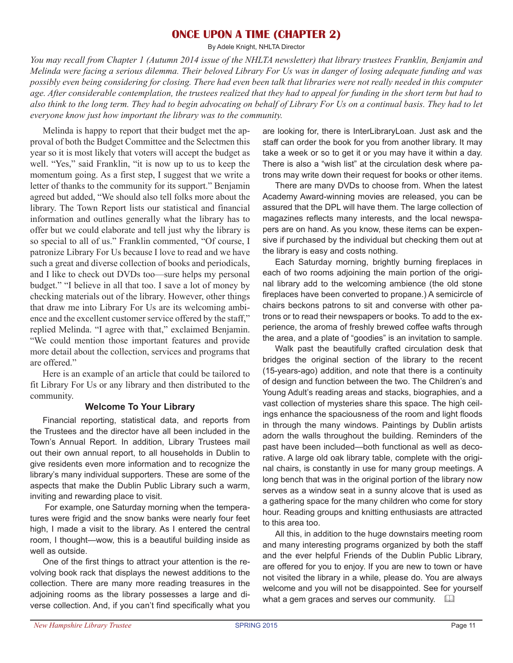### **ONCE UPON A TIME (Chapter 2)**

By Adele Knight, NHLTA Director

*You may recall from Chapter 1 (Autumn 2014 issue of the NHLTA newsletter) that library trustees Franklin, Benjamin and Melinda were facing a serious dilemma. Their beloved Library For Us was in danger of losing adequate funding and was possibly even being considering for closing. There had even been talk that libraries were not really needed in this computer age. After considerable contemplation, the trustees realized that they had to appeal for funding in the short term but had to also think to the long term. They had to begin advocating on behalf of Library For Us on a continual basis. They had to let everyone know just how important the library was to the community.* 

Melinda is happy to report that their budget met the approval of both the Budget Committee and the Selectmen this year so it is most likely that voters will accept the budget as well. "Yes," said Franklin, "it is now up to us to keep the momentum going. As a first step, I suggest that we write a letter of thanks to the community for its support." Benjamin agreed but added, "We should also tell folks more about the library. The Town Report lists our statistical and financial information and outlines generally what the library has to offer but we could elaborate and tell just why the library is so special to all of us." Franklin commented, "Of course, I patronize Library For Us because I love to read and we have such a great and diverse collection of books and periodicals, and I like to check out DVDs too—sure helps my personal budget." "I believe in all that too. I save a lot of money by checking materials out of the library. However, other things that draw me into Library For Us are its welcoming ambience and the excellent customer service offered by the staff," replied Melinda. "I agree with that," exclaimed Benjamin. "We could mention those important features and provide more detail about the collection, services and programs that are offered."

Here is an example of an article that could be tailored to fit Library For Us or any library and then distributed to the community.

#### **Welcome To Your Library**

Financial reporting, statistical data, and reports from the Trustees and the director have all been included in the Town's Annual Report. In addition, Library Trustees mail out their own annual report, to all households in Dublin to give residents even more information and to recognize the library's many individual supporters. These are some of the aspects that make the Dublin Public Library such a warm, inviting and rewarding place to visit.

 For example, one Saturday morning when the temperatures were frigid and the snow banks were nearly four feet high, I made a visit to the library. As I entered the central room, I thought—wow, this is a beautiful building inside as well as outside.

One of the first things to attract your attention is the revolving book rack that displays the newest additions to the collection. There are many more reading treasures in the adjoining rooms as the library possesses a large and diverse collection. And, if you can't find specifically what you

are looking for, there is InterLibraryLoan. Just ask and the staff can order the book for you from another library. It may take a week or so to get it or you may have it within a day. There is also a "wish list" at the circulation desk where patrons may write down their request for books or other items.

There are many DVDs to choose from. When the latest Academy Award-winning movies are released, you can be assured that the DPL will have them. The large collection of magazines reflects many interests, and the local newspapers are on hand. As you know, these items can be expensive if purchased by the individual but checking them out at the library is easy and costs nothing.

Each Saturday morning, brightly burning fireplaces in each of two rooms adjoining the main portion of the original library add to the welcoming ambience (the old stone fireplaces have been converted to propane.) A semicircle of chairs beckons patrons to sit and converse with other patrons or to read their newspapers or books. To add to the experience, the aroma of freshly brewed coffee wafts through the area, and a plate of "goodies" is an invitation to sample.

Walk past the beautifully crafted circulation desk that bridges the original section of the library to the recent (15-years-ago) addition, and note that there is a continuity of design and function between the two. The Children's and Young Adult's reading areas and stacks, biographies, and a vast collection of mysteries share this space. The high ceilings enhance the spaciousness of the room and light floods in through the many windows. Paintings by Dublin artists adorn the walls throughout the building. Reminders of the past have been included—both functional as well as decorative. A large old oak library table, complete with the original chairs, is constantly in use for many group meetings. A long bench that was in the original portion of the library now serves as a window seat in a sunny alcove that is used as a gathering space for the many children who come for story hour. Reading groups and knitting enthusiasts are attracted to this area too.

All this, in addition to the huge downstairs meeting room and many interesting programs organized by both the staff and the ever helpful Friends of the Dublin Public Library, are offered for you to enjoy. If you are new to town or have not visited the library in a while, please do. You are always welcome and you will not be disappointed. See for yourself what a gem graces and serves our community.  $\square$